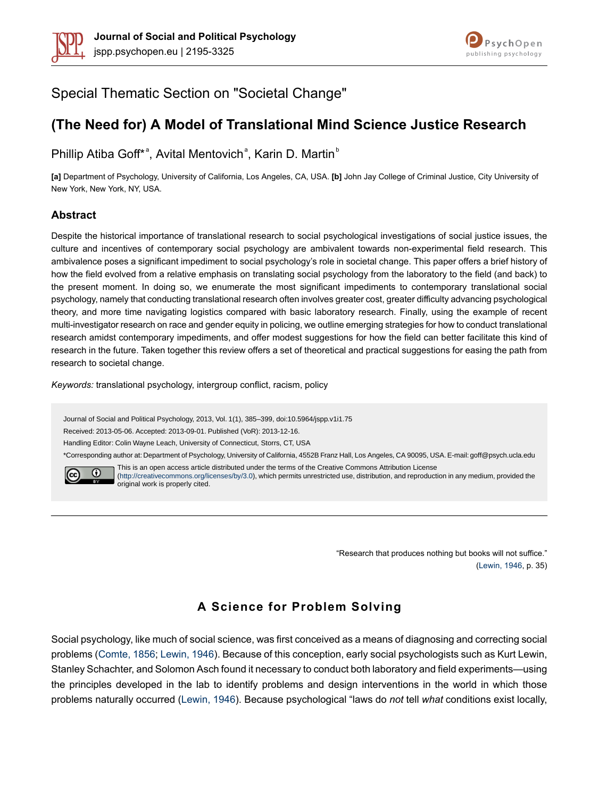



Special Thematic Section on "Societal Change"

# **(The Need for) A Model of Translational Mind Science Justice Research**

Phillip Atiba Goff\*<sup>a</sup>, Avital Mentovich<sup>a</sup>, Karin D. Martin<sup>b</sup>

**[a]** Department of Psychology, University of California, Los Angeles, CA, USA. **[b]** John Jay College of Criminal Justice, City University of New York, New York, NY, USA.

### **Abstract**

Despite the historical importance of translational research to social psychological investigations of social justice issues, the culture and incentives of contemporary social psychology are ambivalent towards non-experimental field research. This ambivalence poses a significant impediment to social psychology's role in societal change. This paper offers a brief history of how the field evolved from a relative emphasis on translating social psychology from the laboratory to the field (and back) to the present moment. In doing so, we enumerate the most significant impediments to contemporary translational social psychology, namely that conducting translational research often involves greater cost, greater difficulty advancing psychological theory, and more time navigating logistics compared with basic laboratory research. Finally, using the example of recent multi-investigator research on race and gender equity in policing, we outline emerging strategies for how to conduct translational research amidst contemporary impediments, and offer modest suggestions for how the field can better facilitate this kind of research in the future. Taken together this review offers a set of theoretical and practical suggestions for easing the path from research to societal change.

*Keywords:* translational psychology, intergroup conflict, racism, policy

Journal of Social and Political Psychology, 2013, Vol. 1(1), 385–399, doi:10.5964/jspp.v1i1.75

Received: 2013-05-06. Accepted: 2013-09-01. Published (VoR): 2013-12-16.

Handling Editor: Colin Wayne Leach, University of Connecticut, Storrs, CT, USA

\*Corresponding author at: Department of Psychology, University of California, 4552B Franz Hall, Los Angeles, CA 90095, USA. E-mail: goff@psych.ucla.edu



This is an open access article distributed under the terms of the Creative Commons Attribution License [\(http://creativecommons.org/licenses/by/3.0](http://creativecommons.org/licenses/by/3.0)), which permits unrestricted use, distribution, and reproduction in any medium, provided the original work is properly cited.

> "Research that produces nothing but books will not suffice." [\(Lewin,](#page-13-0) 1946, p. 35)

# **A Science for Problem Solving**

Social psychology, like much of social science, was first conceived as a means of diagnosing and correcting social problems ([Comte,](#page-12-0) 1856; [Lewin,](#page-13-0) 1946). Because of this conception, early social psychologists such as Kurt Lewin, Stanley Schachter, and Solomon Asch found it necessary to conduct both laboratory and field experiments—using the principles developed in the lab to identify problems and design interventions in the world in which those problems naturally occurred [\(Lewin,](#page-13-0) 1946). Because psychological "laws do *not* tell *what* conditions exist locally,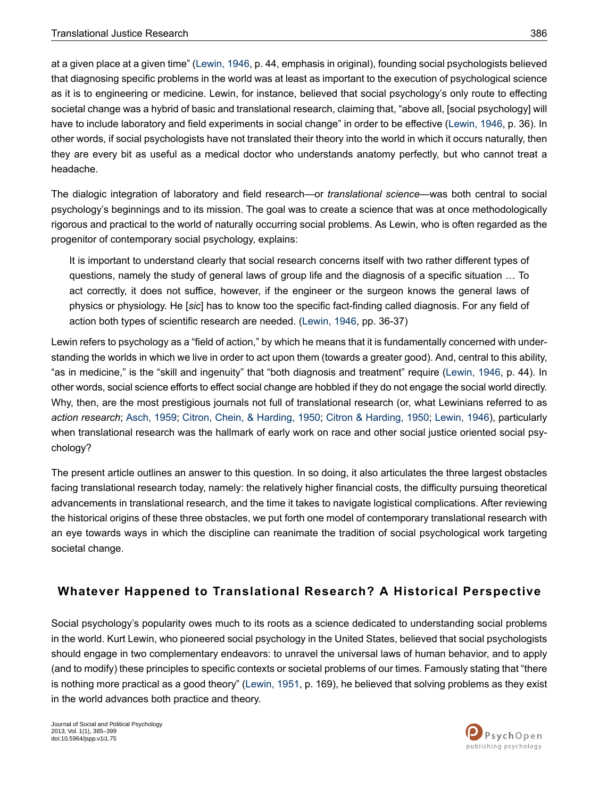at a given place at a given time" ([Lewin,](#page-13-0) 1946, p. 44, emphasis in original), founding social psychologists believed that diagnosing specific problems in the world was at least as important to the execution of psychological science as it is to engineering or medicine. Lewin, for instance, believed that social psychology's only route to effecting societal change was a hybrid of basic and translational research, claiming that, "above all, [social psychology] will have to include laboratory and field experiments in social change" in order to be effective [\(Lewin,](#page-13-0) 1946, p. 36). In other words, if social psychologists have not translated their theory into the world in which it occurs naturally, then they are every bit as useful as a medical doctor who understands anatomy perfectly, but who cannot treat a headache.

The dialogic integration of laboratory and field research—or *translational science*—was both central to social psychology's beginnings and to its mission. The goal was to create a science that was at once methodologically rigorous and practical to the world of naturally occurring social problems. As Lewin, who is often regarded as the progenitor of contemporary social psychology, explains:

It is important to understand clearly that social research concerns itself with two rather different types of questions, namely the study of general laws of group life and the diagnosis of a specific situation … To act correctly, it does not suffice, however, if the engineer or the surgeon knows the general laws of physics or physiology. He [*sic*] has to know too the specific fact-finding called diagnosis. For any field of action both types of scientific research are needed. ([Lewin,](#page-13-0) 1946, pp. 36-37)

Lewin refers to psychology as a "field of action," by which he means that it is fundamentally concerned with understanding the worlds in which we live in order to act upon them (towards a greater good). And, central to this ability, "as in medicine," is the "skill and ingenuity" that "both diagnosis and treatment" require ([Lewin,](#page-13-0) 1946, p. 44). In other words, social science efforts to effect social change are hobbled if they do not engage the social world directly. Why, then, are the most prestigious journals not full of translational research (or, what Lewinians referred to as *action research*; [Asch,](#page-11-0) 1959; Citron, Chein, & [Harding,](#page-12-1) 1950; Citron & [Harding,](#page-12-2) 1950; [Lewin,](#page-13-0) 1946), particularly when translational research was the hallmark of early work on race and other social justice oriented social psychology?

The present article outlines an answer to this question. In so doing, it also articulates the three largest obstacles facing translational research today, namely: the relatively higher financial costs, the difficulty pursuing theoretical advancements in translational research, and the time it takes to navigate logistical complications. After reviewing the historical origins of these three obstacles, we put forth one model of contemporary translational research with an eye towards ways in which the discipline can reanimate the tradition of social psychological work targeting societal change.

## **Whatever Happened to Translational Research? A Historical Perspective**

Social psychology's popularity owes much to its roots as a science dedicated to understanding social problems in the world. Kurt Lewin, who pioneered social psychology in the United States, believed that social psychologists should engage in two complementary endeavors: to unravel the universal laws of human behavior, and to apply (and to modify) these principles to specific contexts or societal problems of our times. Famously stating that "there is nothing more practical as a good theory" [\(Lewin,](#page-13-1) 1951, p. 169), he believed that solving problems as they exist in the world advances both practice and theory.

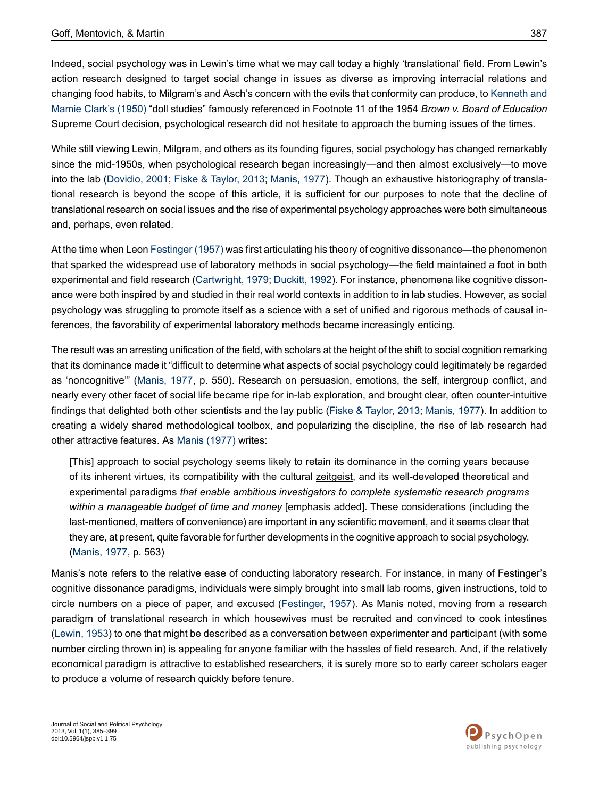Indeed, social psychology was in Lewin's time what we may call today a highly 'translational' field. From Lewin's action research designed to target social change in issues as diverse as improving interracial relations and changing food habits, to Milgram's and Asch's concern with the evils that conformity can produce, to [Kenneth](#page-12-3) and Mamie [Clark's](#page-12-3) (1950) "doll studies" famously referenced in Footnote 11 of the 1954 *Brown v. Board of Education* Supreme Court decision, psychological research did not hesitate to approach the burning issues of the times.

While still viewing Lewin, Milgram, and others as its founding figures, social psychology has changed remarkably since the mid-1950s, when psychological research began increasingly—and then almost exclusively—to move into the lab [\(Dovidio,](#page-12-4) 2001; Fiske & [Taylor,](#page-12-5) 2013; [Manis,](#page-13-2) 1977). Though an exhaustive historiography of translational research is beyond the scope of this article, it is sufficient for our purposes to note that the decline of translational research on social issues and the rise of experimental psychology approaches were both simultaneous and, perhaps, even related.

At the time when Leon [Festinger](#page-12-6) (1957) was first articulating his theory of cognitive dissonance—the phenomenon that sparked the widespread use of laboratory methods in social psychology—the field maintained a foot in both experimental and field research ([Cartwright,](#page-11-1) 1979; [Duckitt,](#page-12-7) 1992). For instance, phenomena like cognitive dissonance were both inspired by and studied in their real world contexts in addition to in lab studies. However, as social psychology was struggling to promote itself as a science with a set of unified and rigorous methods of causal inferences, the favorability of experimental laboratory methods became increasingly enticing.

The result was an arresting unification of the field, with scholars at the height of the shift to social cognition remarking that its dominance made it "difficult to determine what aspects of social psychology could legitimately be regarded as 'noncognitive'" [\(Manis,](#page-13-2) 1977, p. 550). Research on persuasion, emotions, the self, intergroup conflict, and nearly every other facet of social life became ripe for in-lab exploration, and brought clear, often counter-intuitive findings that delighted both other scientists and the lay public (Fiske & [Taylor,](#page-12-5) 2013; [Manis,](#page-13-2) 1977). In addition to creating a widely shared methodological toolbox, and popularizing the discipline, the rise of lab research had other attractive features. As Manis [\(1977\)](#page-13-2) writes:

[This] approach to social psychology seems likely to retain its dominance in the coming years because of its inherent virtues, its compatibility with the cultural zeitgeist, and its well-developed theoretical and experimental paradigms *that enable ambitious investigators to complete systematic research programs within a manageable budget of time and money* [emphasis added]. These considerations (including the last-mentioned, matters of convenience) are important in any scientific movement, and it seems clear that they are, at present, quite favorable for further developments in the cognitive approach to social psychology. [\(Manis,](#page-13-2) 1977, p. 563)

Manis's note refers to the relative ease of conducting laboratory research. For instance, in many of Festinger's cognitive dissonance paradigms, individuals were simply brought into small lab rooms, given instructions, told to circle numbers on a piece of paper, and excused [\(Festinger,](#page-12-6) 1957). As Manis noted, moving from a research paradigm of translational research in which housewives must be recruited and convinced to cook intestines [\(Lewin,](#page-13-3) 1953) to one that might be described as a conversation between experimenter and participant (with some number circling thrown in) is appealing for anyone familiar with the hassles of field research. And, if the relatively economical paradigm is attractive to established researchers, it is surely more so to early career scholars eager to produce a volume of research quickly before tenure.

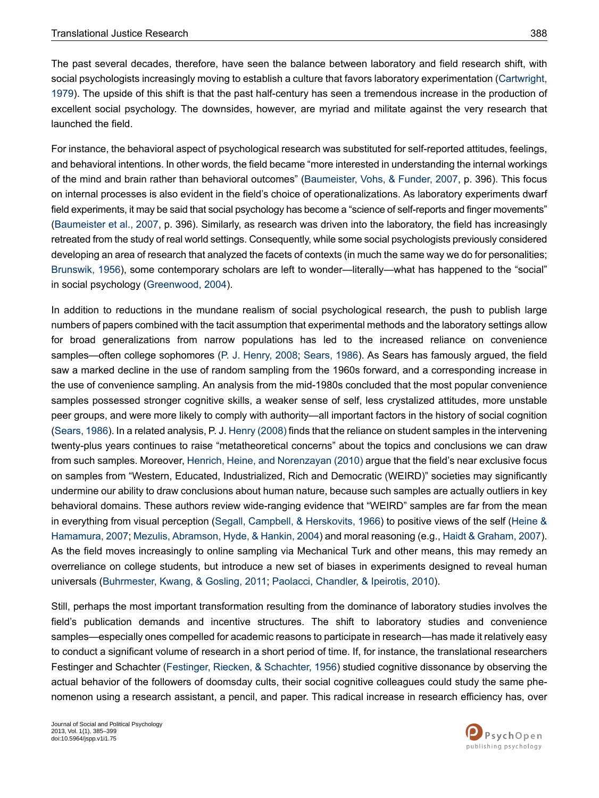The past several decades, therefore, have seen the balance between laboratory and field research shift, with social psychologists increasingly moving to establish a culture that favors laboratory experimentation ([Cartwright,](#page-11-1) [1979](#page-11-1)). The upside of this shift is that the past half-century has seen a tremendous increase in the production of excellent social psychology. The downsides, however, are myriad and militate against the very research that launched the field.

For instance, the behavioral aspect of psychological research was substituted for self-reported attitudes, feelings, and behavioral intentions. In other words, the field became "more interested in understanding the internal workings of the mind and brain rather than behavioral outcomes" ([Baumeister,](#page-11-2) Vohs, & Funder, 2007, p. 396). This focus on internal processes is also evident in the field's choice of operationalizations. As laboratory experiments dwarf field experiments, it may be said that social psychology has become a "science of self-reports and finger movements" [\(Baumeister](#page-11-2) et al., 2007, p. 396). Similarly, as research was driven into the laboratory, the field has increasingly retreated from the study of real world settings. Consequently, while some social psychologists previously considered developing an area of research that analyzed the facets of contexts (in much the same way we do for personalities; [Brunswik,](#page-11-3) 1956), some contemporary scholars are left to wonder—literally—what has happened to the "social" in social psychology [\(Greenwood,](#page-13-4) 2004).

In addition to reductions in the mundane realism of social psychological research, the push to publish large numbers of papers combined with the tacit assumption that experimental methods and the laboratory settings allow for broad generalizations from narrow populations has led to the increased reliance on convenience samples—often college sophomores (P. J. [Henry,](#page-13-5) 2008; [Sears,](#page-14-0) 1986). As Sears has famously argued, the field saw a marked decline in the use of random sampling from the 1960s forward, and a corresponding increase in the use of convenience sampling. An analysis from the mid-1980s concluded that the most popular convenience samples possessed stronger cognitive skills, a weaker sense of self, less crystalized attitudes, more unstable peer groups, and were more likely to comply with authority—all important factors in the history of social cognition (Sears, 1986). In a related analysis, P. J. Henry [\(2008\)](#page-13-5) finds that the reliance on student samples in the intervening twenty-plus years continues to raise "metatheoretical concerns" about the topics and conclusions we can draw from such samples. Moreover, Henrich, Heine, and [Norenzayan](#page-13-6) (2010) argue that the field's near exclusive focus on samples from "Western, Educated, Industrialized, Rich and Democratic (WEIRD)" societies may significantly undermine our ability to draw conclusions about human nature, because such samples are actually outliers in key behavioral domains. These authors review wide-ranging evidence that "WEIRD" samples are far from the mean in everything from visual perception (Segall, Campbell, & [Herskovits,](#page-14-1) 1966) to positive views of the self ([Heine](#page-13-7) & [Hamamura,](#page-13-7) 2007; Mezulis, [Abramson,](#page-13-8) Hyde, & Hankin, 2004) and moral reasoning (e.g., Haidt & [Graham,](#page-13-9) 2007). As the field moves increasingly to online sampling via Mechanical Turk and other means, this may remedy an overreliance on college students, but introduce a new set of biases in experiments designed to reveal human universals [\(Buhrmester,](#page-11-4) Kwang, & Gosling, 2011; Paolacci, [Chandler,](#page-13-10) & Ipeirotis, 2010).

Still, perhaps the most important transformation resulting from the dominance of laboratory studies involves the field's publication demands and incentive structures. The shift to laboratory studies and convenience samples—especially ones compelled for academic reasons to participate in research—has made it relatively easy to conduct a significant volume of research in a short period of time. If, for instance, the translational researchers Festinger and Schachter (Festinger, Riecken, & [Schachter,](#page-12-8) 1956) studied cognitive dissonance by observing the actual behavior of the followers of doomsday cults, their social cognitive colleagues could study the same phenomenon using a research assistant, a pencil, and paper. This radical increase in research efficiency has, over

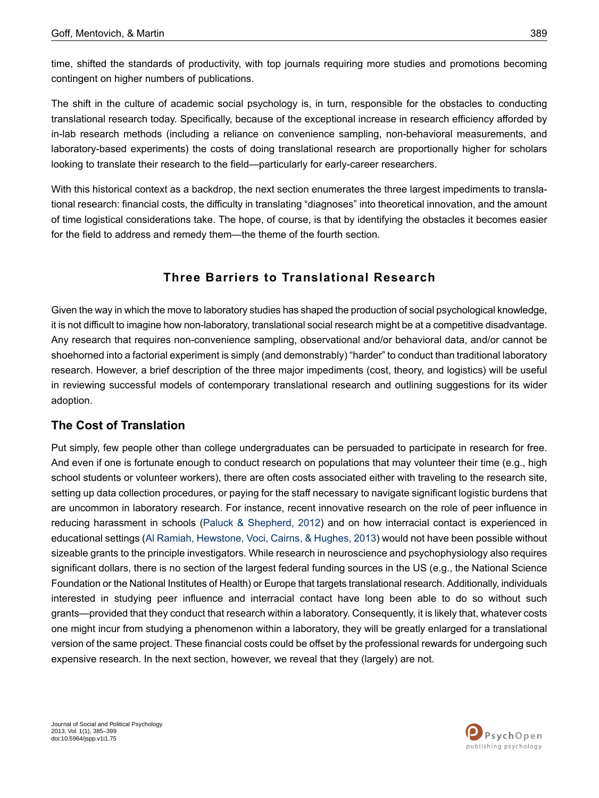time, shifted the standards of productivity, with top journals requiring more studies and promotions becoming contingent on higher numbers of publications.

The shift in the culture of academic social psychology is, in turn, responsible for the obstacles to conducting translational research today. Specifically, because of the exceptional increase in research efficiency afforded by in-lab research methods (including a reliance on convenience sampling, non-behavioral measurements, and laboratory-based experiments) the costs of doing translational research are proportionally higher for scholars looking to translate their research to the field—particularly for early-career researchers.

With this historical context as a backdrop, the next section enumerates the three largest impediments to translational research: financial costs, the difficulty in translating "diagnoses" into theoretical innovation, and the amount of time logistical considerations take. The hope, of course, is that by identifying the obstacles it becomes easier for the field to address and remedy them—the theme of the fourth section.

## **Three Barriers to Translational Research**

Given the way in which the move to laboratory studies has shaped the production of social psychological knowledge, it is not difficult to imagine how non-laboratory, translational social research might be at a competitive disadvantage. Any research that requires non-convenience sampling, observational and/or behavioral data, and/or cannot be shoehorned into a factorial experiment is simply (and demonstrably) "harder" to conduct than traditional laboratory research. However, a brief description of the three major impediments (cost, theory, and logistics) will be useful in reviewing successful models of contemporary translational research and outlining suggestions for its wider adoption.

## **The Cost of Translation**

Put simply, few people other than college undergraduates can be persuaded to participate in research for free. And even if one is fortunate enough to conduct research on populations that may volunteer their time (e.g., high school students or volunteer workers), there are often costs associated either with traveling to the research site, setting up data collection procedures, or paying for the staff necessary to navigate significant logistic burdens that are uncommon in laboratory research. For instance, recent innovative research on the role of peer influence in reducing harassment in schools (Paluck & [Shepherd,](#page-13-11) 2012) and on how interracial contact is experienced in educational settings (Al Ramiah, [Hewstone,](#page-11-5) Voci, Cairns, & Hughes, 2013) would not have been possible without sizeable grants to the principle investigators. While research in neuroscience and psychophysiology also requires significant dollars, there is no section of the largest federal funding sources in the US (e.g., the National Science Foundation or the National Institutes of Health) or Europe that targets translational research. Additionally, individuals interested in studying peer influence and interracial contact have long been able to do so without such grants—provided that they conduct that research within a laboratory. Consequently, it is likely that, whatever costs one might incur from studying a phenomenon within a laboratory, they will be greatly enlarged for a translational version of the same project. These financial costs could be offset by the professional rewards for undergoing such expensive research. In the next section, however, we reveal that they (largely) are not.

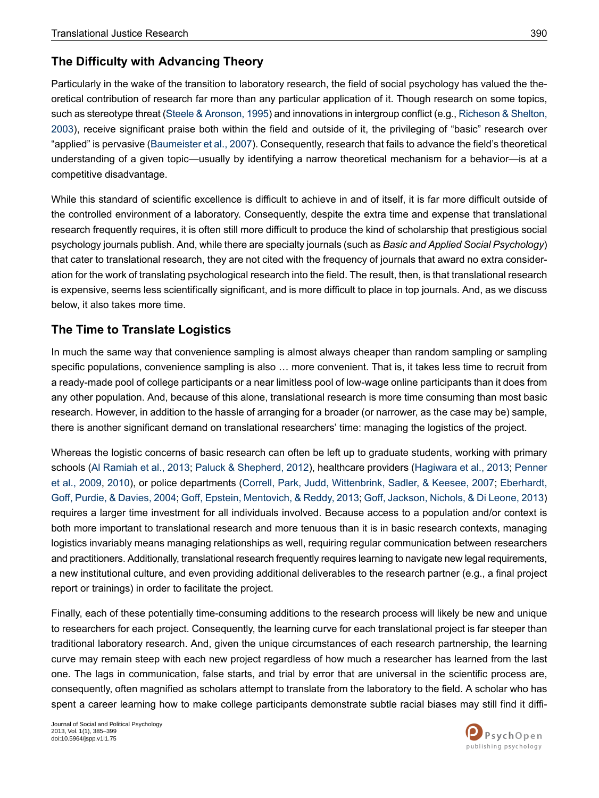## **The Difficulty with Advancing Theory**

Particularly in the wake of the transition to laboratory research, the field of social psychology has valued the theoretical contribution of research far more than any particular application of it. Though research on some topics, such as stereotype threat (Steele & Aronson, 1995) and innovations in intergroup conflict (e.g., [Richeson](#page-14-3) & Shelton, [2003](#page-14-3)), receive significant praise both within the field and outside of it, the privileging of "basic" research over "applied" is pervasive ([Baumeister](#page-11-2) et al., 2007). Consequently, research that fails to advance the field's theoretical understanding of a given topic—usually by identifying a narrow theoretical mechanism for a behavior—is at a competitive disadvantage.

While this standard of scientific excellence is difficult to achieve in and of itself, it is far more difficult outside of the controlled environment of a laboratory. Consequently, despite the extra time and expense that translational research frequently requires, it is often still more difficult to produce the kind of scholarship that prestigious social psychology journals publish. And, while there are specialty journals (such as *Basic and Applied Social Psychology*) that cater to translational research, they are not cited with the frequency of journals that award no extra consideration for the work of translating psychological research into the field. The result, then, is that translational research is expensive, seems less scientifically significant, and is more difficult to place in top journals. And, as we discuss below, it also takes more time.

## **The Time to Translate Logistics**

In much the same way that convenience sampling is almost always cheaper than random sampling or sampling specific populations, convenience sampling is also … more convenient. That is, it takes less time to recruit from a ready-made pool of college participants or a near limitless pool of low-wage online participants than it does from any other population. And, because of this alone, translational research is more time consuming than most basic research. However, in addition to the hassle of arranging for a broader (or narrower, as the case may be) sample, there is another significant demand on translational researchers' time: managing the logistics of the project.

Whereas the logistic concerns of basic research can often be left up to graduate students, working with primary schools (Al [Ramiah](#page-11-5) et al., 2013; Paluck & [Shepherd,](#page-13-11) 2012), healthcare providers [\(Hagiwara](#page-13-12) et al., 2013; [Penner](#page-13-13) et al., [2009,](#page-13-13) [2010](#page-14-4)), or police departments (Correll, Park, Judd, [Wittenbrink,](#page-12-9) Sadler, & Keesee, 2007; [Eberhardt,](#page-12-10) Goff, Purdie, & [Davies,](#page-12-10) 2004; Goff, Epstein, [Mentovich,](#page-12-11) & Reddy, 2013; Goff, [Jackson,](#page-12-12) Nichols, & Di Leone, 2013) requires a larger time investment for all individuals involved. Because access to a population and/or context is both more important to translational research and more tenuous than it is in basic research contexts, managing logistics invariably means managing relationships as well, requiring regular communication between researchers and practitioners. Additionally, translational research frequently requires learning to navigate new legal requirements, a new institutional culture, and even providing additional deliverables to the research partner (e.g., a final project report or trainings) in order to facilitate the project.

Finally, each of these potentially time-consuming additions to the research process will likely be new and unique to researchers for each project. Consequently, the learning curve for each translational project is far steeper than traditional laboratory research. And, given the unique circumstances of each research partnership, the learning curve may remain steep with each new project regardless of how much a researcher has learned from the last one. The lags in communication, false starts, and trial by error that are universal in the scientific process are, consequently, often magnified as scholars attempt to translate from the laboratory to the field. A scholar who has spent a career learning how to make college participants demonstrate subtle racial biases may still find it diffi-

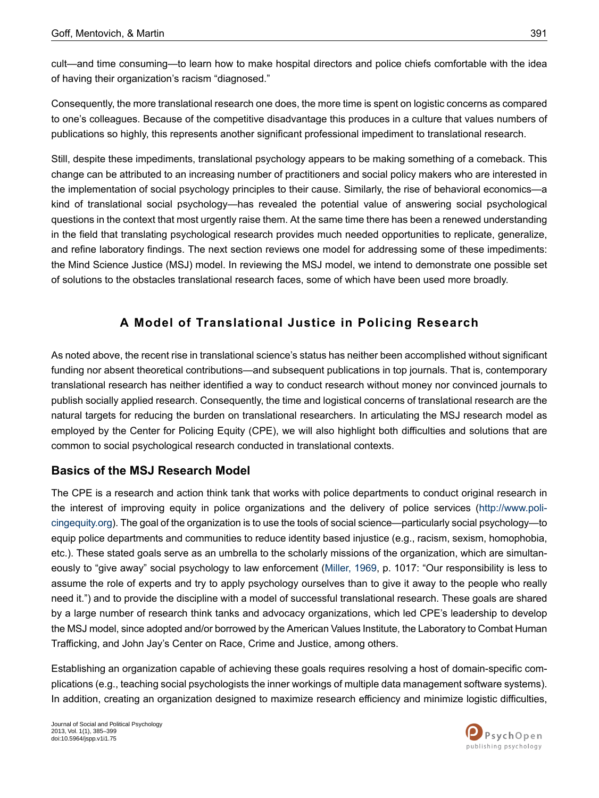cult—and time consuming—to learn how to make hospital directors and police chiefs comfortable with the idea of having their organization's racism "diagnosed."

Consequently, the more translational research one does, the more time is spent on logistic concerns as compared to one's colleagues. Because of the competitive disadvantage this produces in a culture that values numbers of publications so highly, this represents another significant professional impediment to translational research.

Still, despite these impediments, translational psychology appears to be making something of a comeback. This change can be attributed to an increasing number of practitioners and social policy makers who are interested in the implementation of social psychology principles to their cause. Similarly, the rise of behavioral economics—a kind of translational social psychology—has revealed the potential value of answering social psychological questions in the context that most urgently raise them. At the same time there has been a renewed understanding in the field that translating psychological research provides much needed opportunities to replicate, generalize, and refine laboratory findings. The next section reviews one model for addressing some of these impediments: the Mind Science Justice (MSJ) model. In reviewing the MSJ model, we intend to demonstrate one possible set of solutions to the obstacles translational research faces, some of which have been used more broadly.

## **A Model o f Translational Justice in Policing Research**

As noted above, the recent rise in translational science's status has neither been accomplished without significant funding nor absent theoretical contributions—and subsequent publications in top journals. That is, contemporary translational research has neither identified a way to conduct research without money nor convinced journals to publish socially applied research. Consequently, the time and logistical concerns of translational research are the natural targets for reducing the burden on translational researchers. In articulating the MSJ research model as employed by the Center for Policing Equity (CPE), we will also highlight both difficulties and solutions that are common to social psychological research conducted in translational contexts.

## **Basics of the MSJ Research Model**

The CPE is a research and action think tank that works with police departments to conduct original research in the interest of improving equity in police organizations and the delivery of police services ([http://www.poli](http://www.policingequity.org)[cingequity.org\)](http://www.policingequity.org). The goal of the organization is to use the tools of social science—particularly social psychology—to equip police departments and communities to reduce identity based injustice (e.g., racism, sexism, homophobia, etc.). These stated goals serve as an umbrella to the scholarly missions of the organization, which are simultaneously to "give away" social psychology to law enforcement [\(Miller,](#page-13-14) 1969, p. 1017: "Our responsibility is less to assume the role of experts and try to apply psychology ourselves than to give it away to the people who really need it.") and to provide the discipline with a model of successful translational research. These goals are shared by a large number of research think tanks and advocacy organizations, which led CPE's leadership to develop the MSJ model, since adopted and/or borrowed by the American Values Institute, the Laboratory to Combat Human Trafficking, and John Jay's Center on Race, Crime and Justice, among others.

Establishing an organization capable of achieving these goals requires resolving a host of domain-specific complications (e.g., teaching social psychologists the inner workings of multiple data management software systems). In addition, creating an organization designed to maximize research efficiency and minimize logistic difficulties,

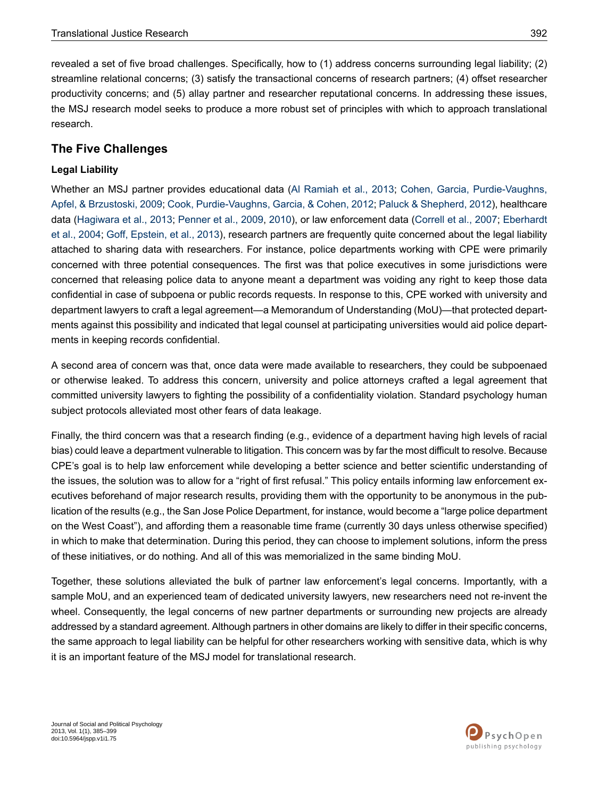revealed a set of five broad challenges. Specifically, how to (1) address concerns surrounding legal liability; (2) streamline relational concerns; (3) satisfy the transactional concerns of research partners; (4) offset researcher productivity concerns; and (5) allay partner and researcher reputational concerns. In addressing these issues, the MSJ research model seeks to produce a more robust set of principles with which to approach translational research.

## **The Five Challenges**

### **Legal Liability**

Whether an MSJ partner provides educational data (Al [Ramiah](#page-11-5) et al., 2013; Cohen, Garcia, [Purdie-Vaughns,](#page-12-13) Apfel, & [Brzustoski,](#page-12-13) 2009; Cook, [Purdie-Vaughns,](#page-12-14) Garcia, & Cohen, 2012; Paluck & [Shepherd,](#page-13-11) 2012), healthcare data ([Hagiwara](#page-13-12) et al., 2013; [Penner](#page-13-13) et al., 2009, [2010\)](#page-14-4), or law enforcement data ([Correll](#page-12-9) et al., 2007; [Eberhardt](#page-12-10) et al., [2004](#page-12-10); Goff, [Epstein,](#page-12-11) et al., 2013), research partners are frequently quite concerned about the legal liability attached to sharing data with researchers. For instance, police departments working with CPE were primarily concerned with three potential consequences. The first was that police executives in some jurisdictions were concerned that releasing police data to anyone meant a department was voiding any right to keep those data confidential in case of subpoena or public records requests. In response to this, CPE worked with university and department lawyers to craft a legal agreement—a Memorandum of Understanding (MoU)—that protected departments against this possibility and indicated that legal counsel at participating universities would aid police departments in keeping records confidential.

A second area of concern was that, once data were made available to researchers, they could be subpoenaed or otherwise leaked. To address this concern, university and police attorneys crafted a legal agreement that committed university lawyers to fighting the possibility of a confidentiality violation. Standard psychology human subject protocols alleviated most other fears of data leakage.

Finally, the third concern was that a research finding (e.g., evidence of a department having high levels of racial bias) could leave a department vulnerable to litigation. This concern was by far the most difficult to resolve. Because CPE's goal is to help law enforcement while developing a better science and better scientific understanding of the issues, the solution was to allow for a "right of first refusal." This policy entails informing law enforcement executives beforehand of major research results, providing them with the opportunity to be anonymous in the publication of the results (e.g., the San Jose Police Department, for instance, would become a "large police department on the West Coast"), and affording them a reasonable time frame (currently 30 days unless otherwise specified) in which to make that determination. During this period, they can choose to implement solutions, inform the press of these initiatives, or do nothing. And all of this was memorialized in the same binding MoU.

Together, these solutions alleviated the bulk of partner law enforcement's legal concerns. Importantly, with a sample MoU, and an experienced team of dedicated university lawyers, new researchers need not re-invent the wheel. Consequently, the legal concerns of new partner departments or surrounding new projects are already addressed by a standard agreement. Although partners in other domains are likely to differ in their specific concerns, the same approach to legal liability can be helpful for other researchers working with sensitive data, which is why it is an important feature of the MSJ model for translational research.

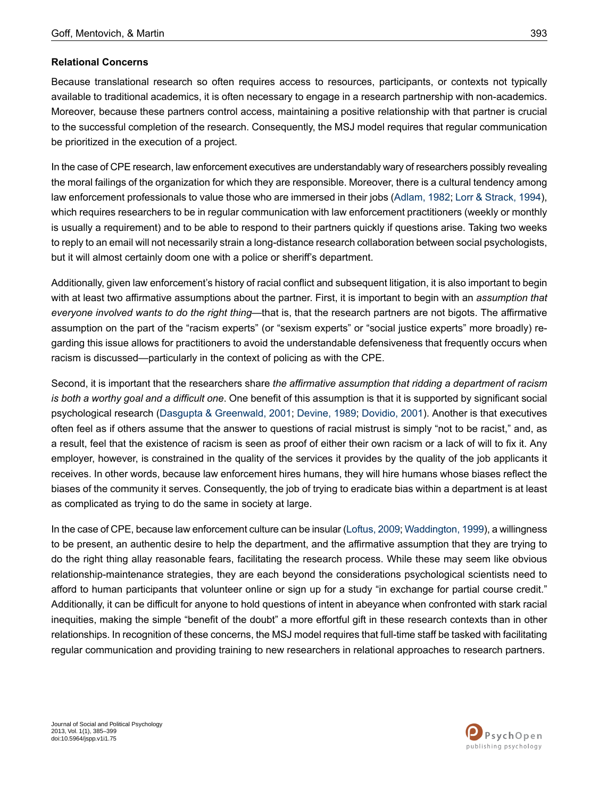#### **Relational Concerns**

Because translational research so often requires access to resources, participants, or contexts not typically available to traditional academics, it is often necessary to engage in a research partnership with non-academics. Moreover, because these partners control access, maintaining a positive relationship with that partner is crucial to the successful completion of the research. Consequently, the MSJ model requires that regular communication be prioritized in the execution of a project.

In the case of CPE research, law enforcement executives are understandably wary of researchers possibly revealing the moral failings of the organization for which they are responsible. Moreover, there is a cultural tendency among law enforcement professionals to value those who are immersed in their jobs [\(Adlam,](#page-11-6) 1982; Lorr & [Strack,](#page-13-15) 1994), which requires researchers to be in regular communication with law enforcement practitioners (weekly or monthly is usually a requirement) and to be able to respond to their partners quickly if questions arise. Taking two weeks to reply to an email will not necessarily strain a long-distance research collaboration between social psychologists, but it will almost certainly doom one with a police or sheriff's department.

Additionally, given law enforcement's history of racial conflict and subsequent litigation, it is also important to begin with at least two affirmative assumptions about the partner. First, it is important to begin with an *assumption that everyone involved wants to do the right thing*—that is, that the research partners are not bigots. The affirmative assumption on the part of the "racism experts" (or "sexism experts" or "social justice experts" more broadly) regarding this issue allows for practitioners to avoid the understandable defensiveness that frequently occurs when racism is discussed—particularly in the context of policing as with the CPE.

Second, it is important that the researchers share *the affirmative assumption that ridding a department of racism is both a worthy goal and a difficult one*. One benefit of this assumption is that it is supported by significant social psychological research (Dasgupta & [Greenwald,](#page-12-15) 2001; [Devine,](#page-12-16) 1989; [Dovidio,](#page-12-4) 2001). Another is that executives often feel as if others assume that the answer to questions of racial mistrust is simply "not to be racist," and, as a result, feel that the existence of racism is seen as proof of either their own racism or a lack of will to fix it. Any employer, however, is constrained in the quality of the services it provides by the quality of the job applicants it receives. In other words, because law enforcement hires humans, they will hire humans whose biases reflect the biases of the community it serves. Consequently, the job of trying to eradicate bias within a department is at least as complicated as trying to do the same in society at large.

In the case of CPE, because law enforcement culture can be insular (Loftus, 2009; Waddington, 1999), a willingness to be present, an authentic desire to help the department, and the affirmative assumption that they are trying to do the right thing allay reasonable fears, facilitating the research process. While these may seem like obvious relationship-maintenance strategies, they are each beyond the considerations psychological scientists need to afford to human participants that volunteer online or sign up for a study "in exchange for partial course credit." Additionally, it can be difficult for anyone to hold questions of intent in abeyance when confronted with stark racial inequities, making the simple "benefit of the doubt" a more effortful gift in these research contexts than in other relationships. In recognition of these concerns, the MSJ model requires that full-time staff be tasked with facilitating regular communication and providing training to new researchers in relational approaches to research partners.

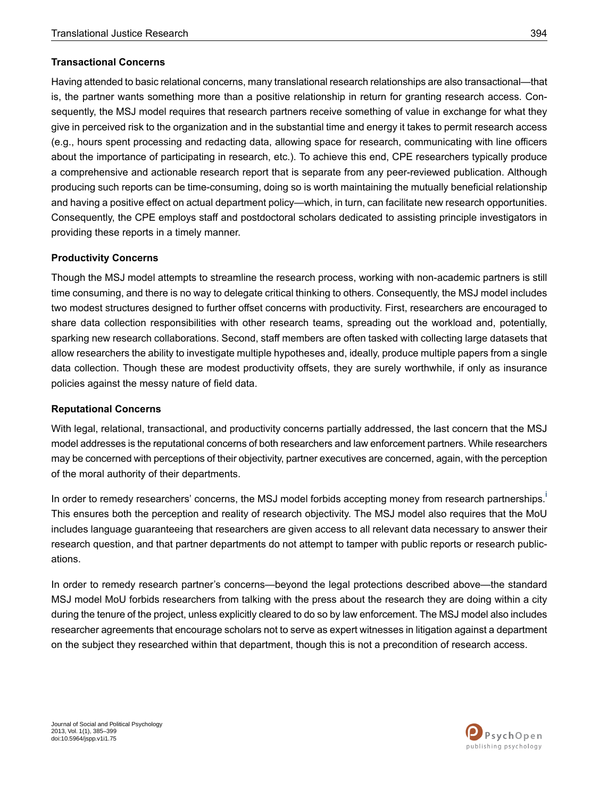#### **Transactional Concerns**

Having attended to basic relational concerns, many translational research relationships are also transactional—that is, the partner wants something more than a positive relationship in return for granting research access. Consequently, the MSJ model requires that research partners receive something of value in exchange for what they give in perceived risk to the organization and in the substantial time and energy it takes to permit research access (e.g., hours spent processing and redacting data, allowing space for research, communicating with line officers about the importance of participating in research, etc.). To achieve this end, CPE researchers typically produce a comprehensive and actionable research report that is separate from any peer-reviewed publication. Although producing such reports can be time-consuming, doing so is worth maintaining the mutually beneficial relationship and having a positive effect on actual department policy—which, in turn, can facilitate new research opportunities. Consequently, the CPE employs staff and postdoctoral scholars dedicated to assisting principle investigators in providing these reports in a timely manner.

#### **Productivity Concerns**

Though the MSJ model attempts to streamline the research process, working with non-academic partners is still time consuming, and there is no way to delegate critical thinking to others. Consequently, the MSJ model includes two modest structures designed to further offset concerns with productivity. First, researchers are encouraged to share data collection responsibilities with other research teams, spreading out the workload and, potentially, sparking new research collaborations. Second, staff members are often tasked with collecting large datasets that allow researchers the ability to investigate multiple hypotheses and, ideally, produce multiple papers from a single data collection. Though these are modest productivity offsets, they are surely worthwhile, if only as insurance policies against the messy nature of field data.

#### **Reputational Concerns**

With legal, relational, transactional, and productivity concerns partially addressed, the last concern that the MSJ model addresses is the reputational concerns of both researchers and law enforcement partners. While researchers may be concerned with perceptions of their objectivity, partner executives are concerned, again, with the perception of the moral authority of their departments.

In order to remedy researchers' concerns, the MSJ model forb[i](#page-11-7)ds accepting money from research partnerships. This ensures both the perception and reality of research objectivity. The MSJ model also requires that the MoU includes language guaranteeing that researchers are given access to all relevant data necessary to answer their research question, and that partner departments do not attempt to tamper with public reports or research publications.

In order to remedy research partner's concerns—beyond the legal protections described above—the standard MSJ model MoU forbids researchers from talking with the press about the research they are doing within a city during the tenure of the project, unless explicitly cleared to do so by law enforcement. The MSJ model also includes researcher agreements that encourage scholars not to serve as expert witnesses in litigation against a department on the subject they researched within that department, though this is not a precondition of research access.

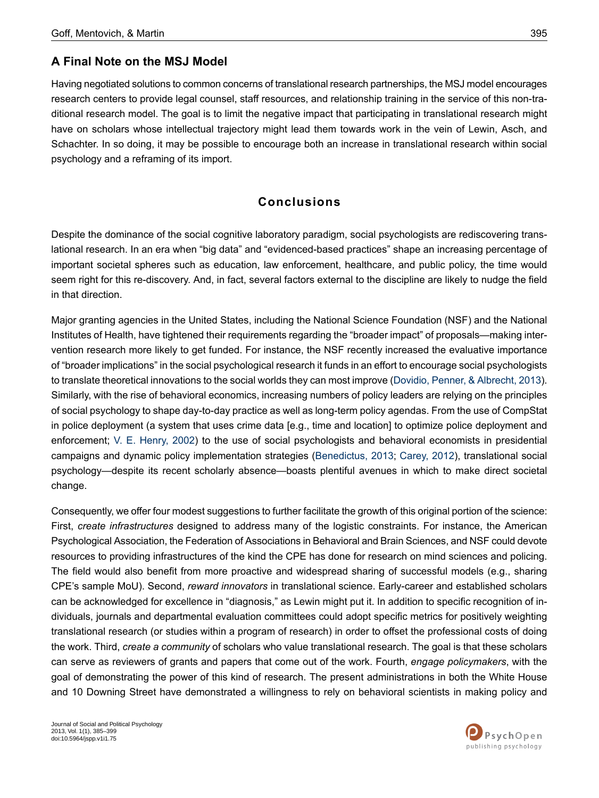## **A Final Note on the MSJ Model**

Having negotiated solutions to common concerns of translational research partnerships, the MSJ model encourages research centers to provide legal counsel, staff resources, and relationship training in the service of this non-traditional research model. The goal is to limit the negative impact that participating in translational research might have on scholars whose intellectual trajectory might lead them towards work in the vein of Lewin, Asch, and Schachter. In so doing, it may be possible to encourage both an increase in translational research within social psychology and a reframing of its import.

## **Conclusions**

Despite the dominance of the social cognitive laboratory paradigm, social psychologists are rediscovering translational research. In an era when "big data" and "evidenced-based practices" shape an increasing percentage of important societal spheres such as education, law enforcement, healthcare, and public policy, the time would seem right for this re-discovery. And, in fact, several factors external to the discipline are likely to nudge the field in that direction.

Major granting agencies in the United States, including the National Science Foundation (NSF) and the National Institutes of Health, have tightened their requirements regarding the "broader impact" of proposals—making intervention research more likely to get funded. For instance, the NSF recently increased the evaluative importance of "broader implications" in the social psychological research it funds in an effort to encourage social psychologists to translate theoretical innovations to the social worlds they can most improve (Dovidio, Penner, & [Albrecht,](#page-12-17) 2013). Similarly, with the rise of behavioral economics, increasing numbers of policy leaders are relying on the principles of social psychology to shape day-to-day practice as well as long-term policy agendas. From the use of CompStat in police deployment (a system that uses crime data [e.g., time and location] to optimize police deployment and enforcement; V. E. [Henry,](#page-13-17) 2002) to the use of social psychologists and behavioral economists in presidential campaigns and dynamic policy implementation strategies ([Benedictus,](#page-11-8) 2013; [Carey,](#page-11-9) 2012), translational social psychology—despite its recent scholarly absence—boasts plentiful avenues in which to make direct societal change.

Consequently, we offer four modest suggestions to further facilitate the growth of this original portion of the science: First, *create infrastructures* designed to address many of the logistic constraints. For instance, the American Psychological Association, the Federation of Associations in Behavioral and Brain Sciences, and NSF could devote resources to providing infrastructures of the kind the CPE has done for research on mind sciences and policing. The field would also benefit from more proactive and widespread sharing of successful models (e.g., sharing CPE's sample MoU). Second, *reward innovators* in translational science. Early-career and established scholars can be acknowledged for excellence in "diagnosis," as Lewin might put it. In addition to specific recognition of individuals, journals and departmental evaluation committees could adopt specific metrics for positively weighting translational research (or studies within a program of research) in order to offset the professional costs of doing the work. Third, *create a community* of scholars who value translational research. The goal is that these scholars can serve as reviewers of grants and papers that come out of the work. Fourth, *engage policymakers*, with the goal of demonstrating the power of this kind of research. The present administrations in both the White House and 10 Downing Street have demonstrated a willingness to rely on behavioral scientists in making policy and

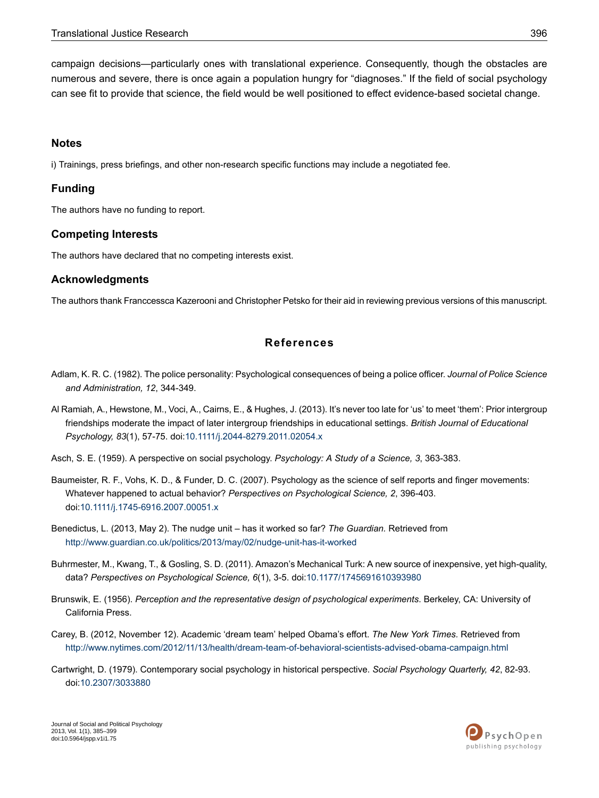campaign decisions—particularly ones with translational experience. Consequently, though the obstacles are numerous and severe, there is once again a population hungry for "diagnoses." If the field of social psychology can see fit to provide that science, the field would be well positioned to effect evidence-based societal change.

### <span id="page-11-7"></span>**Notes**

i) Trainings, press briefings, and other non-research specific functions may include a negotiated fee.

### **Funding**

The authors have no funding to report.

### **Competing Interests**

The authors have declared that no competing interests exist.

### **Acknowledgments**

<span id="page-11-6"></span>The authors thank Franccessca Kazerooni and Christopher Petsko for their aid in reviewing previous versions of this manuscript.

## **References**

- <span id="page-11-5"></span>Adlam, K. R. C. (1982). The police personality: Psychological consequences of being a police officer. *Journal of Police Science and Administration, 12*, 344-349.
- <span id="page-11-2"></span><span id="page-11-0"></span>Al Ramiah, A., Hewstone, M., Voci, A., Cairns, E., & Hughes, J. (2013). It's never too late for 'us' to meet 'them': Prior intergroup friendships moderate the impact of later intergroup friendships in educational settings. *British Journal of Educational Psychology, 83*(1), 57-75. doi[:10.1111/j.2044-8279.2011.02054.x](http://dx.doi.org/10.1111/j.2044-8279.2011.02054.x)
- Asch, S. E. (1959). A perspective on social psychology. *Psychology: A Study of a Science, 3*, 363-383.
- <span id="page-11-8"></span>Baumeister, R. F., Vohs, K. D., & Funder, D. C. (2007). Psychology as the science of self reports and finger movements: Whatever happened to actual behavior? *Perspectives on Psychological Science, 2*, 396-403. doi:[10.1111/j.1745-6916.2007.00051.x](http://dx.doi.org/10.1111/j.1745-6916.2007.00051.x)
- <span id="page-11-4"></span><span id="page-11-3"></span>Benedictus, L. (2013, May 2). The nudge unit – has it worked so far? *The Guardian.* Retrieved from <http://www.guardian.co.uk/politics/2013/may/02/nudge-unit-has-it-worked>
- <span id="page-11-9"></span>Buhrmester, M., Kwang, T., & Gosling, S. D. (2011). Amazon's Mechanical Turk: A new source of inexpensive, yet high-quality, data? *Perspectives on Psychological Science, 6*(1), 3-5. doi:[10.1177/1745691610393980](http://dx.doi.org/10.1177/1745691610393980)
- <span id="page-11-1"></span>Brunswik, E. (1956). *Perception and the representative design of psychological experiments*. Berkeley, CA: University of California Press.
- Carey, B. (2012, November 12). Academic 'dream team' helped Obama's effort. *The New York Times.* Retrieved from <http://www.nytimes.com/2012/11/13/health/dream-team-of-behavioral-scientists-advised-obama-campaign.html>
- Cartwright, D. (1979). Contemporary social psychology in historical perspective. *Social Psychology Quarterly, 42*, 82-93. doi:[10.2307/3033880](http://dx.doi.org/10.2307/3033880)

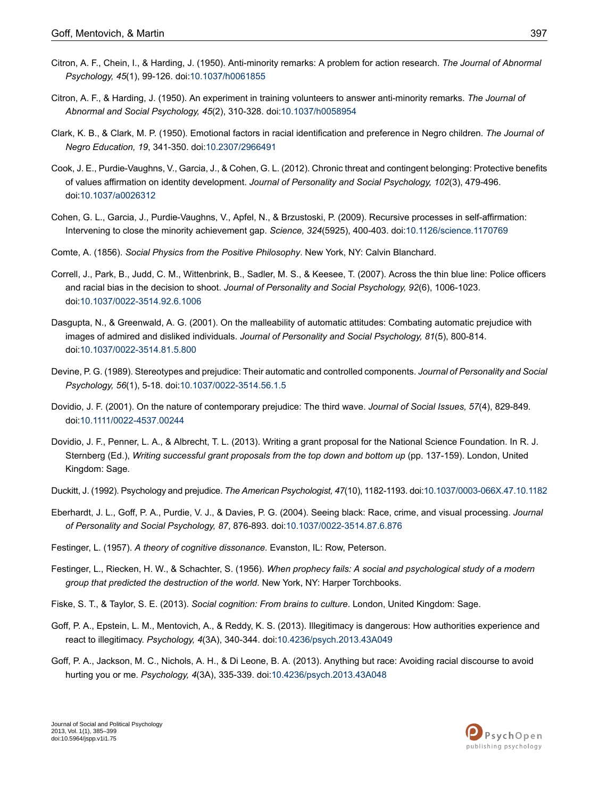- <span id="page-12-1"></span>Citron, A. F., Chein, I., & Harding, J. (1950). Anti-minority remarks: A problem for action research. *The Journal of Abnormal Psychology, 45*(1), 99-126. doi[:10.1037/h0061855](http://dx.doi.org/10.1037/h0061855)
- <span id="page-12-2"></span>Citron, A. F., & Harding, J. (1950). An experiment in training volunteers to answer anti-minority remarks. *The Journal of Abnormal and Social Psychology, 45*(2), 310-328. doi:[10.1037/h0058954](http://dx.doi.org/10.1037/h0058954)
- <span id="page-12-3"></span>Clark, K. B., & Clark, M. P. (1950). Emotional factors in racial identification and preference in Negro children. *The Journal of Negro Education, 19*, 341-350. doi:[10.2307/2966491](http://dx.doi.org/10.2307/2966491)
- <span id="page-12-14"></span>Cook, J. E., Purdie-Vaughns, V., Garcia, J., & Cohen, G. L. (2012). Chronic threat and contingent belonging: Protective benefits of values affirmation on identity development. *Journal of Personality and Social Psychology, 102*(3), 479-496. doi:[10.1037/a0026312](http://dx.doi.org/10.1037/a0026312)
- <span id="page-12-13"></span><span id="page-12-0"></span>Cohen, G. L., Garcia, J., Purdie-Vaughns, V., Apfel, N., & Brzustoski, P. (2009). Recursive processes in self-affirmation: Intervening to close the minority achievement gap. *Science, 324*(5925), 400-403. doi:[10.1126/science.1170769](http://dx.doi.org/10.1126/science.1170769)
- <span id="page-12-9"></span>Comte, A. (1856). *Social Physics from the Positive Philosophy*. New York, NY: Calvin Blanchard.
- <span id="page-12-15"></span>Correll, J., Park, B., Judd, C. M., Wittenbrink, B., Sadler, M. S., & Keesee, T. (2007). Across the thin blue line: Police officers and racial bias in the decision to shoot. *Journal of Personality and Social Psychology, 92*(6), 1006-1023. doi:[10.1037/0022-3514.92.6.1006](http://dx.doi.org/10.1037/0022-3514.92.6.1006)
- <span id="page-12-16"></span>Dasgupta, N., & Greenwald, A. G. (2001). On the malleability of automatic attitudes: Combating automatic prejudice with images of admired and disliked individuals. *Journal of Personality and Social Psychology, 81*(5), 800-814. doi:[10.1037/0022-3514.81.5.800](http://dx.doi.org/10.1037/0022-3514.81.5.800)
- <span id="page-12-4"></span>Devine, P. G. (1989). Stereotypes and prejudice: Their automatic and controlled components. *Journal of Personality and Social Psychology, 56*(1), 5-18. doi[:10.1037/0022-3514.56.1.5](http://dx.doi.org/10.1037/0022-3514.56.1.5)
- <span id="page-12-17"></span>Dovidio, J. F. (2001). On the nature of contemporary prejudice: The third wave. *Journal of Social Issues, 57*(4), 829-849. doi:[10.1111/0022-4537.00244](http://dx.doi.org/10.1111/0022-4537.00244)
- <span id="page-12-10"></span><span id="page-12-7"></span>Dovidio, J. F., Penner, L. A., & Albrecht, T. L. (2013). Writing a grant proposal for the National Science Foundation. In R. J. Sternberg (Ed.), *Writing successful grant proposals from the top down and bottom up* (pp. 137-159). London, United Kingdom: Sage.
- <span id="page-12-6"></span>Duckitt, J. (1992). Psychology and prejudice. *The American Psychologist, 47*(10), 1182-1193. doi:[10.1037/0003-066X.47.10.1182](http://dx.doi.org/10.1037/0003-066X.47.10.1182)
- <span id="page-12-8"></span>Eberhardt, J. L., Goff, P. A., Purdie, V. J., & Davies, P. G. (2004). Seeing black: Race, crime, and visual processing. *Journal of Personality and Social Psychology, 87*, 876-893. doi[:10.1037/0022-3514.87.6.876](http://dx.doi.org/10.1037/0022-3514.87.6.876)
- <span id="page-12-5"></span>Festinger, L. (1957). *A theory of cognitive dissonance*. Evanston, IL: Row, Peterson.
- <span id="page-12-11"></span>Festinger, L., Riecken, H. W., & Schachter, S. (1956). *When prophecy fails: A social and psychological study of a modern group that predicted the destruction of the world*. New York, NY: Harper Torchbooks.
- <span id="page-12-12"></span>Fiske, S. T., & Taylor, S. E. (2013). *Social cognition: From brains to culture*. London, United Kingdom: Sage.
- Goff, P. A., Epstein, L. M., Mentovich, A., & Reddy, K. S. (2013). Illegitimacy is dangerous: How authorities experience and react to illegitimacy. *Psychology, 4*(3A), 340-344. doi:[10.4236/psych.2013.43A049](http://dx.doi.org/10.4236/psych.2013.43A049)
- Goff, P. A., Jackson, M. C., Nichols, A. H., & Di Leone, B. A. (2013). Anything but race: Avoiding racial discourse to avoid hurting you or me. *Psychology, 4*(3A), 335-339. doi:[10.4236/psych.2013.43A048](http://dx.doi.org/10.4236/psych.2013.43A048)

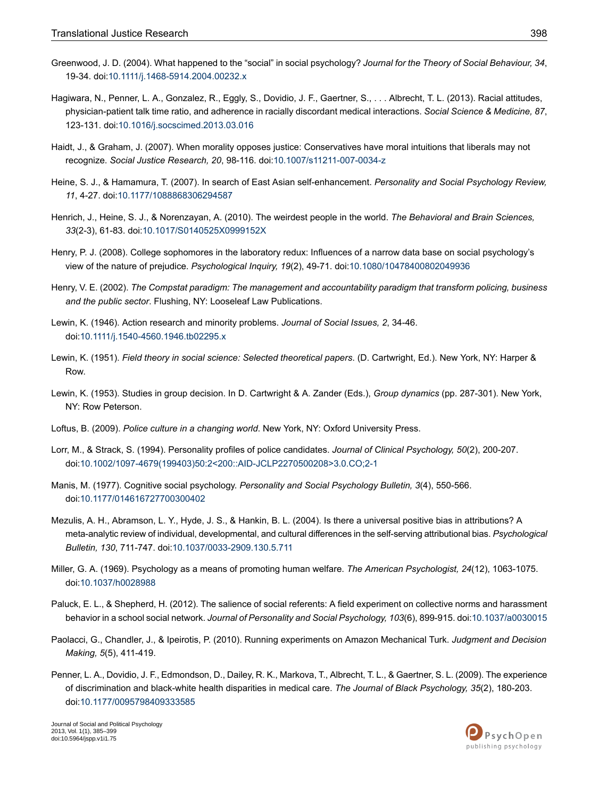- <span id="page-13-4"></span>Greenwood, J. D. (2004). What happened to the "social" in social psychology? *Journal for the Theory of Social Behaviour, 34*, 19-34. doi:[10.1111/j.1468-5914.2004.00232.x](http://dx.doi.org/10.1111/j.1468-5914.2004.00232.x)
- <span id="page-13-12"></span>Hagiwara, N., Penner, L. A., Gonzalez, R., Eggly, S., Dovidio, J. F., Gaertner, S., . . . Albrecht, T. L. (2013). Racial attitudes, physician-patient talk time ratio, and adherence in racially discordant medical interactions. *Social Science & Medicine, 87*, 123-131. doi:[10.1016/j.socscimed.2013.03.016](http://dx.doi.org/10.1016/j.socscimed.2013.03.016)
- <span id="page-13-9"></span><span id="page-13-7"></span>Haidt, J., & Graham, J. (2007). When morality opposes justice: Conservatives have moral intuitions that liberals may not recognize. *Social Justice Research, 20*, 98-116. doi[:10.1007/s11211-007-0034-z](http://dx.doi.org/10.1007/s11211-007-0034-z)
- <span id="page-13-6"></span>Heine, S. J., & Hamamura, T. (2007). In search of East Asian self-enhancement. *Personality and Social Psychology Review, 11*, 4-27. doi[:10.1177/1088868306294587](http://dx.doi.org/10.1177/1088868306294587)
- <span id="page-13-5"></span>Henrich, J., Heine, S. J., & Norenzayan, A. (2010). The weirdest people in the world. *The Behavioral and Brain Sciences, 33*(2-3), 61-83. doi:[10.1017/S0140525X0999152X](http://dx.doi.org/10.1017/S0140525X0999152X)
- <span id="page-13-17"></span>Henry, P. J. (2008). College sophomores in the laboratory redux: Influences of a narrow data base on social psychology's view of the nature of prejudice. *Psychological Inquiry, 19*(2), 49-71. doi[:10.1080/10478400802049936](http://dx.doi.org/10.1080/10478400802049936)
- <span id="page-13-0"></span>Henry, V. E. (2002). *The Compstat paradigm: The management and accountability paradigm that transform policing, business and the public sector*. Flushing, NY: Looseleaf Law Publications.
- <span id="page-13-1"></span>Lewin, K. (1946). Action research and minority problems. *Journal of Social Issues, 2*, 34-46. doi:[10.1111/j.1540-4560.1946.tb02295.x](http://dx.doi.org/10.1111/j.1540-4560.1946.tb02295.x)
- <span id="page-13-3"></span>Lewin, K. (1951). *Field theory in social science: Selected theoretical papers*. (D. Cartwright, Ed.). New York, NY: Harper & Row.
- <span id="page-13-16"></span><span id="page-13-15"></span>Lewin, K. (1953). Studies in group decision. In D. Cartwright & A. Zander (Eds.), *Group dynamics* (pp. 287-301). New York, NY: Row Peterson.
- <span id="page-13-2"></span>Loftus, B. (2009). *Police culture in a changing world*. New York, NY: Oxford University Press.
- Lorr, M., & Strack, S. (1994). Personality profiles of police candidates. *Journal of Clinical Psychology, 50*(2), 200-207. doi:[10.1002/1097-4679\(199403\)50:2<200::AID-JCLP2270500208>3.0.CO;2-1](http://dx.doi.org/10.1002/1097-4679(199403)50:2<200::AID-JCLP2270500208>3.0.CO;2-1)
- <span id="page-13-8"></span>Manis, M. (1977). Cognitive social psychology. *Personality and Social Psychology Bulletin, 3*(4), 550-566. doi:[10.1177/014616727700300402](http://dx.doi.org/10.1177/014616727700300402)
- <span id="page-13-14"></span><span id="page-13-11"></span>Mezulis, A. H., Abramson, L. Y., Hyde, J. S., & Hankin, B. L. (2004). Is there a universal positive bias in attributions? A meta-analytic review of individual, developmental, and cultural differences in the self-serving attributional bias. *Psychological Bulletin, 130*, 711-747. doi:[10.1037/0033-2909.130.5.711](http://dx.doi.org/10.1037/0033-2909.130.5.711)
- <span id="page-13-10"></span>Miller, G. A. (1969). Psychology as a means of promoting human welfare. *The American Psychologist, 24*(12), 1063-1075. doi:[10.1037/h0028988](http://dx.doi.org/10.1037/h0028988)
- <span id="page-13-13"></span>Paluck, E. L., & Shepherd, H. (2012). The salience of social referents: A field experiment on collective norms and harassment behavior in a school social network. *Journal of Personality and Social Psychology, 103*(6), 899-915. doi[:10.1037/a0030015](http://dx.doi.org/10.1037/a0030015)
- Paolacci, G., Chandler, J., & Ipeirotis, P. (2010). Running experiments on Amazon Mechanical Turk. *Judgment and Decision Making, 5*(5), 411-419.
- Penner, L. A., Dovidio, J. F., Edmondson, D., Dailey, R. K., Markova, T., Albrecht, T. L., & Gaertner, S. L. (2009). The experience of discrimination and black-white health disparities in medical care. *The Journal of Black Psychology, 35*(2), 180-203. doi:[10.1177/0095798409333585](http://dx.doi.org/10.1177/0095798409333585)